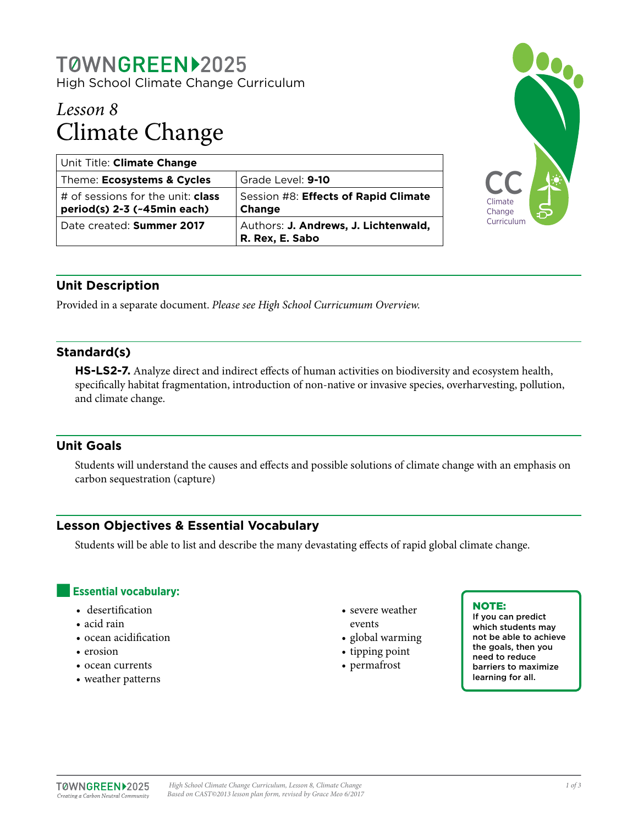# T0WNGREEN>2025 High School Climate Change Curriculum

# *Lesson 8* Climate Change

| Unit Title: Climate Change                                              |                                                         |
|-------------------------------------------------------------------------|---------------------------------------------------------|
| Theme: Ecosystems & Cycles                                              | Grade Level: 9-10                                       |
| # of sessions for the unit: <b>class</b><br>period(s) 2-3 (~45min each) | Session #8: Effects of Rapid Climate<br><b>Change</b>   |
| Date created: Summer 2017                                               | Authors: J. Andrews, J. Lichtenwald,<br>R. Rex, E. Sabo |



# **Unit Description**

Provided in a separate document. *Please see High School Curricumum Overview.*

## **Standard(s)**

**HS-LS2-7.** Analyze direct and indirect effects of human activities on biodiversity and ecosystem health, specifically habitat fragmentation, introduction of non-native or invasive species, overharvesting, pollution, and climate change.

## **Unit Goals**

Students will understand the causes and effects and possible solutions of climate change with an emphasis on carbon sequestration (capture)

# **Lesson Objectives & Essential Vocabulary**

Students will be able to list and describe the many devastating effects of rapid global climate change.

## **Essential vocabulary:**

- desertification
- acid rain
- ocean acidification
- erosion
- ocean currents
- weather patterns
- severe weather
- events
- global warming
- tipping point
- permafrost

#### NOTE:

If you can predict which students may not be able to achieve the goals, then you need to reduce barriers to maximize learning for all.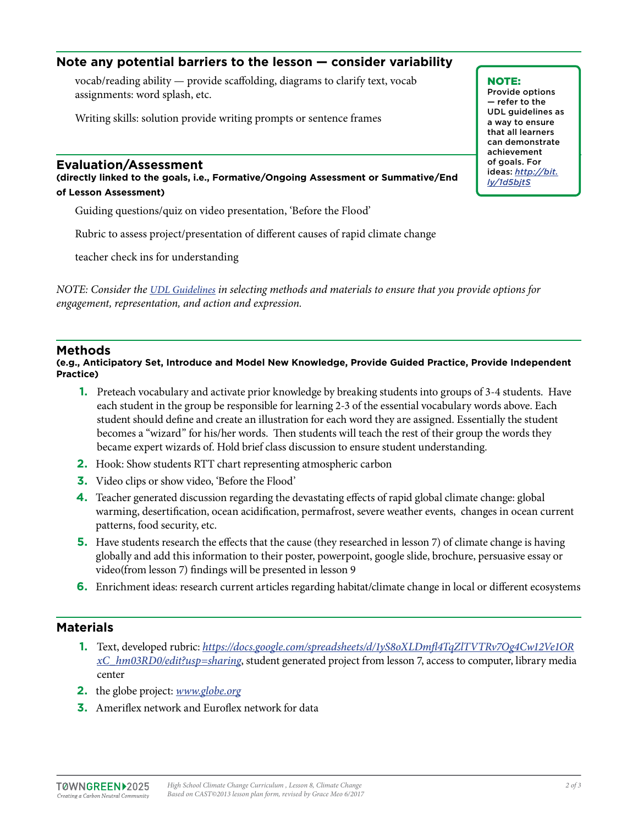# **Note any potential barriers to the lesson — consider variability**

vocab/reading ability — provide scaffolding, diagrams to clarify text, vocab assignments: word splash, etc.

Writing skills: solution provide writing prompts or sentence frames

#### **Evaluation/Assessment**

**(directly linked to the goals, i.e., Formative/Ongoing Assessment or Summative/End of Lesson Assessment)**

Guiding questions/quiz on video presentation, 'Before the Flood'

Rubric to assess project/presentation of different causes of rapid climate change

teacher check ins for understanding

*NOTE: Consider the [UDL Guidelines](http://bit.ly/1d5bjtS) in selecting methods and materials to ensure that you provide options for engagement, representation, and action and expression.* 

#### **Methods**

**(e.g., Anticipatory Set, Introduce and Model New Knowledge, Provide Guided Practice, Provide Independent Practice)**

- **1.** Preteach vocabulary and activate prior knowledge by breaking students into groups of 3-4 students. Have each student in the group be responsible for learning 2-3 of the essential vocabulary words above. Each student should define and create an illustration for each word they are assigned. Essentially the student becomes a "wizard" for his/her words. Then students will teach the rest of their group the words they became expert wizards of. Hold brief class discussion to ensure student understanding.
- **2.** Hook: Show students RTT chart representing atmospheric carbon
- **3.** Video clips or show video, 'Before the Flood'
- **4.** Teacher generated discussion regarding the devastating effects of rapid global climate change: global warming, desertification, ocean acidification, permafrost, severe weather events, changes in ocean current patterns, food security, etc.
- **5.** Have students research the effects that the cause (they researched in lesson 7) of climate change is having globally and add this information to their poster, powerpoint, google slide, brochure, persuasive essay or video(from lesson 7) findings will be presented in lesson 9
- **6.** Enrichment ideas: research current articles regarding habitat/climate change in local or different ecosystems

#### **Materials**

- **1.** Text, developed rubric: *[https://docs.google.com/spreadsheets/d/1yS8oXLDmfl4TqZlTVTRv7Og4Cw12Ve1OR](https://docs.google.com/spreadsheets/d/1yS8oXLDmfl4TqZlTVTRv7Og4Cw12Ve1ORxC_hm03RD0/edit?usp=sharing) [xC\\_hm03RD0/edit?usp=sharing](https://docs.google.com/spreadsheets/d/1yS8oXLDmfl4TqZlTVTRv7Og4Cw12Ve1ORxC_hm03RD0/edit?usp=sharing)*, student generated project from lesson 7, access to computer, library media center
- **2.** the globe project: *[www.globe.org](http://www.globe.org)*
- **3.** Ameriflex network and Euroflex network for data

NOTE: Provide options — refer to the UDL guidelines as a way to ensure that all learners can demonstrate achievement of goals. For ideas: *http://bit. ly/1d5bjtS*